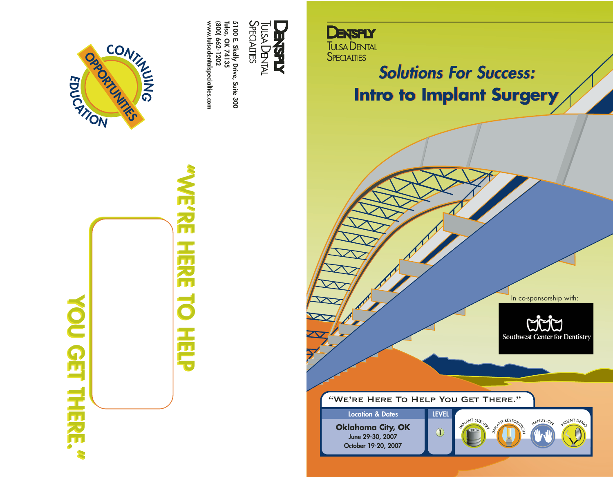



**"WE'RE HERE TO HELP WE'RE HERE TO HELP** Ę



**www.tulsadentalspecialties.com**

**(800) 662-1202 Tulsa, OK 74135**



**Solutions For Success: Intro to Implant Surgery**

In co-sponsorship with:

UUJ **Southwest Center for Dentistry** 

"We're Here To Help You Get There."

**Oklahoma City, OK June 29-30, 2007 October 19-20, 2007 Location & Dates LEVEL**